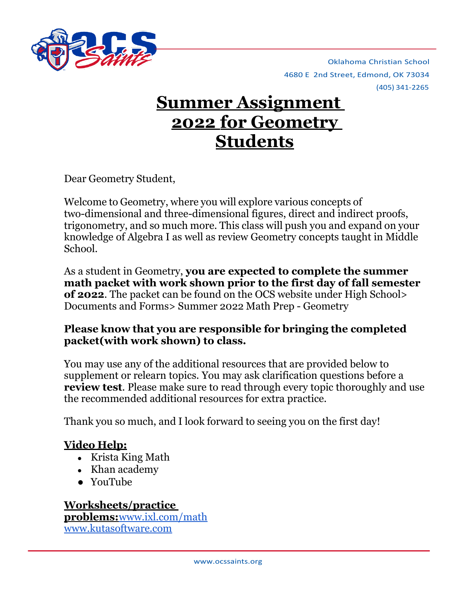

4680 E 2nd Street, Edmond, OK 73034 (405) 341-2265 Oklahoma Christian School

# **Summer Assignment 2022 for Geometry Students**

Dear Geometry Student,

Welcome to Geometry, where you will explore various concepts of two-dimensional and three-dimensional figures, direct and indirect proofs, trigonometry, and so much more. This class will push you and expand on your knowledge of Algebra I as well as review Geometry concepts taught in Middle School.

As a student in Geometry, **you are expected to complete the summer math packet with work shown prior to the first day of fall semester of 2022**. The packet can be found on the OCS website under High School> Documents and Forms> Summer 2022 Math Prep - Geometry

### **Please know that you are responsible for bringing the completed packet(with work shown) to class.**

You may use any of the additional resources that are provided below to supplement or relearn topics. You may ask clarification questions before a **review test**. Please make sure to read through every topic thoroughly and use the recommended additional resources for extra practice.

Thank you so much, and I look forward to seeing you on the first day!

### **Video Help:**

- Krista King Math
- Khan academy
- YouTube

## **Worksheets/practice**

**problems:**[www.ixl.com/math](http://www.ixl.com/math) [www.kutasoftware.com](http://www.kutasoftware.com/)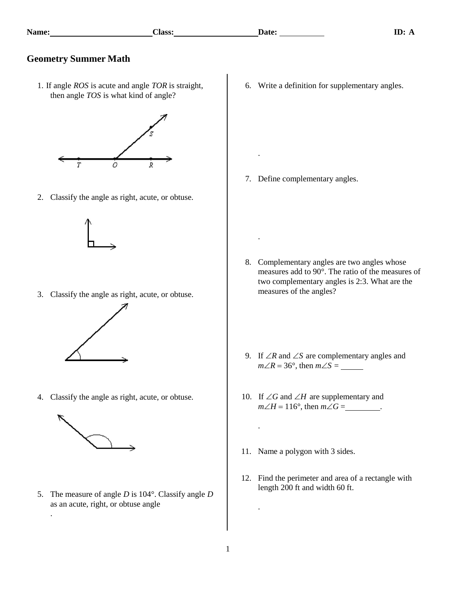.

.

.

#### **Geometry Summer Math**

1. If angle *ROS* is acute and angle *TOR* is straight, then angle *TOS* is what kind of angle?



2. Classify the angle as right, acute, or obtuse.



3. Classify the angle as right, acute, or obtuse.



4. Classify the angle as right, acute, or obtuse.



.

5. The measure of angle *D* is 104°. Classify angle *D* as an acute, right, or obtuse angle

6. Write a definition for supplementary angles.

7. Define complementary angles.

- 8. Complementary angles are two angles whose measures add to 90°. The ratio of the measures of two complementary angles is 2:3. What are the measures of the angles?
- 9. If  $\angle R$  and  $\angle S$  are complementary angles and  $m\angle R = 36^\circ$ , then  $m\angle S =$
- 10. If  $\angle G$  and  $\angle H$  are supplementary and *mH* = 116°, then *mG* = .
- 11. Name a polygon with 3 sides.
- 12. Find the perimeter and area of a rectangle with length 200 ft and width 60 ft.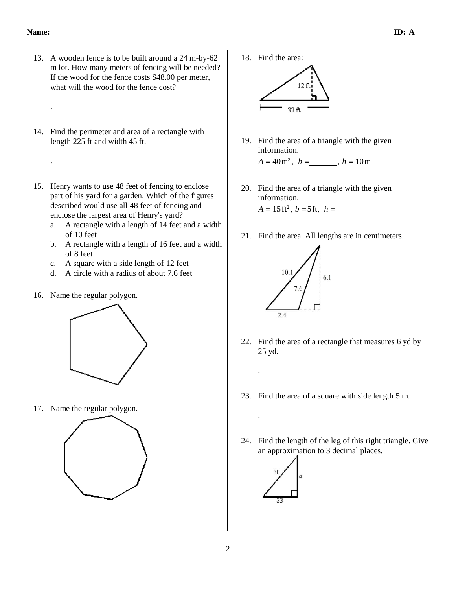.

- 13. A wooden fence is to be built around a 24 m-by-62 m lot. How many meters of fencing will be needed? If the wood for the fence costs \$48.00 per meter, what will the wood for the fence cost?
- 14. Find the perimeter and area of a rectangle with length 225 ft and width 45 ft.
- 15. Henry wants to use 48 feet of fencing to enclose part of his yard for a garden. Which of the figures described would use all 48 feet of fencing and enclose the largest area of Henry's yard?
	- a. A rectangle with a length of 14 feet and a width of 10 feet
	- b. A rectangle with a length of 16 feet and a width of 8 feet
	- c. A square with a side length of 12 feet
	- d. A circle with a radius of about 7.6 feet
- 16. Name the regular polygon.



17. Name the regular polygon.



18. Find the area:



19. Find the area of a triangle with the given information.

 $A = 40 \,\text{m}^2$ ,  $b =$  \_\_\_\_\_\_\_,  $h = 10 \,\text{m}$ 

20. Find the area of a triangle with the given information.

 $A = 15 \text{ ft}^2$ ,  $b = 5 \text{ ft}$ ,  $h =$ 

21. Find the area. All lengths are in centimeters.



- 22. Find the area of a rectangle that measures 6 yd by 25 yd.
- 23. Find the area of a square with side length 5 m.
- 24. Find the length of the leg of this right triangle. Give an approximation to 3 decimal places.



.

.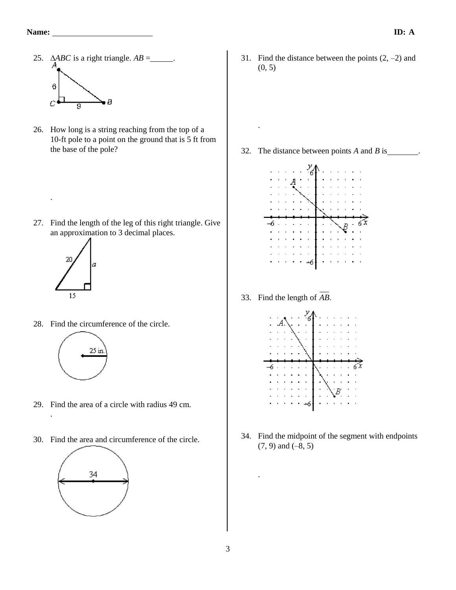- 25.  $\triangle ABC$  is a right triangle.  $AB =$ . 6 сf  $\overline{g}$
- 26. How long is a string reaching from the top of a 10-ft pole to a point on the ground that is 5 ft from the base of the pole?

27. Find the length of the leg of this right triangle. Give an approximation to 3 decimal places.



.

.

28. Find the circumference of the circle.



- 29. Find the area of a circle with radius 49 cm.
- 30. Find the area and circumference of the circle.



31. Find the distance between the points  $(2, -2)$  and (0, 5)

32. The distance between points *A* and *B* is .

.



33. Find the length of *AB*



34. Find the midpoint of the segment with endpoints (7, 9) and (–8, 5)

.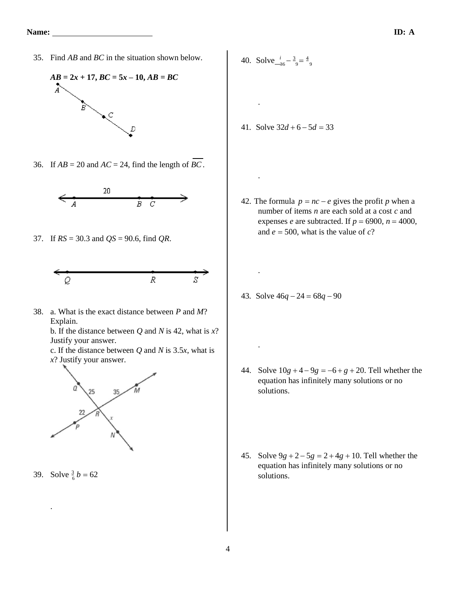35. Find *AB* and *BC* in the situation shown below.



36. If  $AB = 20$  and  $AC = 24$ , find the length of *BC*.



37. If *RS* = 30.3 and *QS* = 90.6, find *QR*.



38. a. What is the exact distance between *P* and *M*? Explain.

b. If the distance between *Q* and *N* is 42, what is *x*? Justify your answer.

c. If the distance between *Q* and *N* is 3.5*x*, what is *x*? Justify your answer.



39. Solve  $\frac{3}{6}b = 62$ 

.

40. Solve  $\frac{i}{-36} - \frac{3}{9} = \frac{4}{9}$ 

.

.

.

.

41. Solve 32*d* + 6 − 5*d* = 33

- 42. The formula  $p = nc e$  gives the profit *p* when a number of items *n* are each sold at a cost *c* and expenses *e* are subtracted. If  $p = 6900$ ,  $n = 4000$ , and  $e = 500$ , what is the value of  $c$ ?
- 43. Solve 46*q* − 24 = 68*q* − 90

- 44. Solve  $10g + 4 9g = -6 + g + 20$ . Tell whether the equation has infinitely many solutions or no solutions.
- 45. Solve 9*g* + 2 − 5*g* = 2 + 4*g* + 10. Tell whether the equation has infinitely many solutions or no solutions.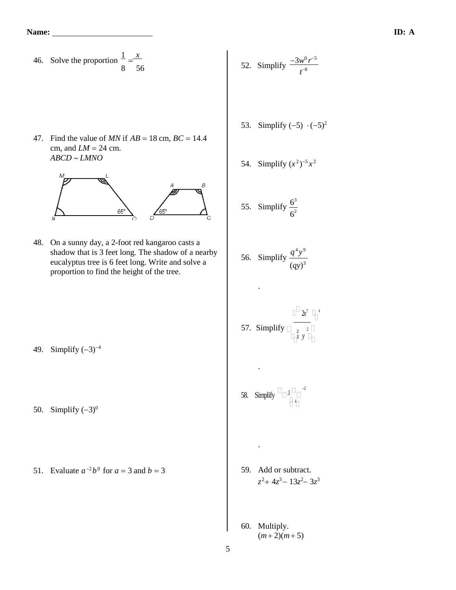$50.$ 

51.

46. Solve the proportion  $\frac{1}{x} = \frac{x}{x}$ 

53. Simplify (−5) (−5)<sup>2</sup> 47. Find the value of *MN* if *AB* = 18 cm, *BC* = 14.4 cm, and *LM* = 24 cm. *ABCD LMNO* 2 −5 *x* 2 54. Simplify (*x* ) 3 6 55. Simplify 2 6 48. On a sunny day, a 2-foot red kangaroo casts a 4 9 shadow that is 3 feet long. The shadow of a nearby *q y* 56. Simplify eucalyptus tree is 6 feet long. Write and solve a 3 (*qy*) proportion to find the height of the tree. . 2*x* <sup>7</sup> <sup>4</sup> 57. Simplify <sup>2</sup> 2 *y x* . −2 58. Simplify <sup>3</sup> 4 . <sup>−</sup><sup>2</sup> *b* 0 for *a* = 3 and *b* = 3 59. Add or subtract. <sup>2</sup>+ 4*z* <sup>3</sup>− 13*z* <sup>2</sup>− 3*z* 3 *z* 60. Multiply. (*m* + 2)(*m*+ 5)5

 $\frac{1}{8} = \frac{x}{56}$  56 56 52. Simplify  $\frac{-3w^0 r^{-5}}{r^{-8}}$ 

*t* −8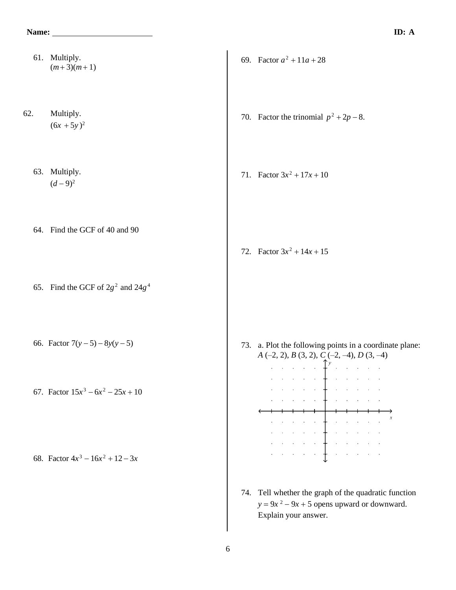- 61. Multiply. 69. Factor  $a^2 + 11a + 28$  $(m+3)(m+1)$ 62. Multiply. 70. Factor the trinomial  $p^2 + 2p - 8$ .  $(6x + 5y)^2$ 63. Multiply. 71. Factor  $3x^2 + 17x + 10$  $(d-9)^2$ 64. Find the GCF of 40 and 90 72. Factor  $3x^2 + 14x + 15$ 65. Find the GCF of  $2g^2$  and  $24g^4$ 66. Factor 7(*y* − 5) − 8*y*(*y* − 5) 73. a. Plot the following points in a coordinate plane: *A* (–2, 2), *B* (3, 2), *C* (–2, –4), *D* (3, –4)  $\cdots$  and  $\cdots$   $\uparrow$   $\uparrow$   $\uparrow$   $\cdots$   $\cdots$   $\cdots$  $\begin{array}{cccccccccccccc} \mathbf{1} & \mathbf{1} & \mathbf{1} & \mathbf{1} & \mathbf{1} & \mathbf{1} & \mathbf{1} & \mathbf{1} & \mathbf{1} & \mathbf{1} & \mathbf{1} & \mathbf{1} & \mathbf{1} & \mathbf{1} & \mathbf{1} & \mathbf{1} & \mathbf{1} & \mathbf{1} & \mathbf{1} & \mathbf{1} & \mathbf{1} & \mathbf{1} & \mathbf{1} & \mathbf{1} & \mathbf{1} & \mathbf{1} & \mathbf{1} & \mathbf{1} & \mathbf{1} & \mathbf{1} &$ 67. Factor  $15x^3 - 6x^2 - 25x + 10$ ه المنابع المنابع المنابع المنابع المنابع المناطق المناطق المناطق المناطق المناطق المناطق المناطق المناطق المناطق المناطق المناطق المناطق المناطق المناط<br>المناطق المناطق المناطق المناطق المناطق المناطق المناطق المناطق المناطق المناطق المناطق المناطق المناطق المناط a a ser a la provincia de<br>A decembro de Provincia de 68. Factor  $4x^3 - 16x^2 + 12 - 3x$ 
	- 74. Tell whether the graph of the quadratic function  $y = 9x^2 - 9x + 5$  opens upward or downward. Explain your answer.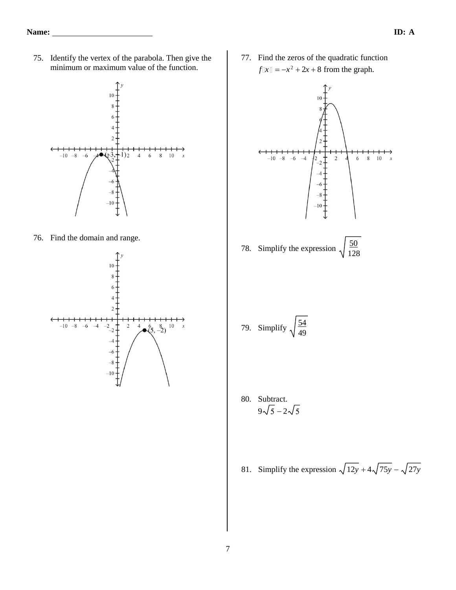75. Identify the vertex of the parabola. Then give the minimum or maximum value of the function.



76. Find the domain and range.



77. Find the zeros of the quadratic function  $f\mathbb{I}x\mathbb{I} = -x^2 + 2x + 8$  from the graph.



80. Subtract.  

$$
9\sqrt{5} - 2\sqrt{5}
$$

81. Simplify the expression  $\sqrt{12y+4}\sqrt{75y} - \sqrt{27y}$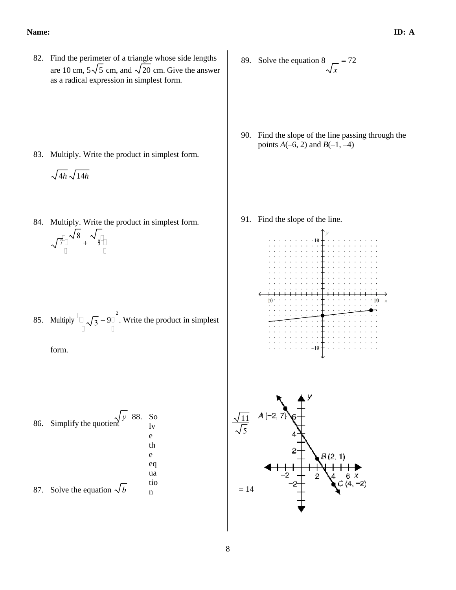82. Find the perimeter of a triangle whose side lengths are 10 cm,  $5\sqrt{5}$  cm, and  $\sqrt{20}$  cm. Give the answer as a radical expression in simplest form.

- 83. Multiply. Write the product in simplest form.
	- $\sqrt{4h}\sqrt{14h}$
- 84. Multiply. Write the product in simplest form.

 $\sqrt{7\frac{1}{n}}\sqrt{8}$  +  $\sqrt{9\frac{1}{n}}$ 

85. Multiply  $\boxed{\Box}$   $\boxed{7} - 9$   $\Box$  Write the product in simplest

form.

86. Simplify the quotient 
$$
\frac{\sqrt{y}}{y}
$$
 88. So  
the quotient  $\frac{1}{x}$  of the equation  $\frac{1}{x}$  to the equation  $\frac{1}{x}$  to the equation  $\frac{1}{x}$  to the equation  $\frac{1}{x}$  to the equation  $\frac{1}{x}$  to the equation  $\frac{1}{x}$  to the equation  $\frac{1}{x}$  to the equation  $\frac{1}{x}$  to the equation  $\frac{1}{x}$  to the equation  $\frac{1}{x}$  to the equation  $\frac{1}{x}$  to the equation  $\frac{1}{x}$  to the equation  $\frac{1}{x}$  to the equation  $\frac{1}{x}$  to the equation  $\frac{1}{x}$  to the equation  $\frac{1}{x}$  to the equation  $\frac{1}{x}$  to the equation  $\frac{1}{x}$  to the equation  $\frac{1}{x}$  to the equation  $\frac{1}{x}$  to the equation  $\frac{1}{x}$  to the equation  $\frac{1}{x}$  to the equation  $\frac{1}{x}$  to the equation  $\frac{1}{x}$  to the equation  $\frac{1}{x}$  to the equation  $\frac{1}{x}$  to the equation  $\frac{1}{x}$  to the equation  $\frac{1}{x}$  to the equation  $\frac{1}{x}$  to the equation  $\frac{1}{x}$  to the equation  $\frac{1}{x}$  to the equation  $\frac{1}{x}$  to the equation  $\frac{1}{x}$  to the equation  $\frac{1}{x}$  to the equation  $\frac{1}{x}$  to the equation  $\frac{1}{x}$  to the equation  $\frac{1}{x}$  to the equation  $\frac{1}{x}$  to the equation  $\frac{1}{x}$  to the equation  $\frac{1}{x}$  to the equation  $\frac{1}{x}$  to the equation  $\frac{1}{x}$  to the equation  $\frac{1}{x}$  to the equation  $\frac{1}{x}$  to the equation  $\frac{1}{x}$  to the equation  $\frac{1}{x}$  to the equation  $\frac{1}{x}$  to the equation  $\frac{1}{x}$  to the equation  $\frac{1}{x}$  to the equation  $\frac{1}{x}$  to the equation  $\frac{1}{x}$  to the equation  $\frac{1}{$ 

- 89. Solve the equation 8  $\sqrt{x}$  = 72
- 90. Find the slope of the line passing through the points  $A(-6, 2)$  and  $B(-1, -4)$

91. Find the slope of the line.



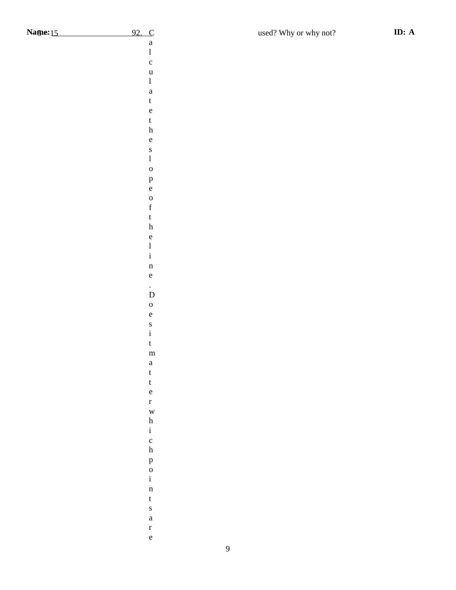Calculatetheslopeoftheline.Doesitmatterwhic

 $\mathbf{a}$  $\mathbf{1}$  $\mathbf c$  $\mathbf u$  $\,1$  $\rm{a}$  $\mathbf t$  $\rm e$  $\mathbf t$  $\boldsymbol{\textbf{h}}$  $\mathbf{e}% _{0}\left( \mathbf{1}\right)$  ${\bf S}$  $\mathbf{1}$  $\mathbf{o}$  $\, {\bf p}$  $\mathbf{e}$  $\mathbf{o}$  $\mathbf f$  $\mathbf{t}$  $\,$  h  $\mathbf{e}% _{0}\left( \mathbf{1}\right)$  $\bf{l}$  $\mathbf i$  $\mathbf n$  $\mathbf{e}% _{0}\left( \mathbf{1}\right)$  $\overline{D}$  $\mathbf{o}$  $\mathbf e$  $\mathbf S$  $\rm i$  $\mathbf t$  $\mathbf{m}$  $\rm{a}$  $\mathbf t$  $\mathbf t$  $\mathbf{e}% _{B}=\mathbf{e}_{B}+\mathbf{e}_{B}+\mathbf{e}_{B}+\mathbf{e}_{B}$  $\mathbf{r}$  $\mathbf{W}$  $\boldsymbol{\textbf{h}}$  $\mathbf{i}$  $\mathbf c$  $\mathbf h$  $\, {\bf p}$  $\mathbf 0$  $\mathbf i$  $\mathbf{n}$  $\mathbf t$  $\mathbf S$  $\mathbf{a}$  $\mathbf r$  $\rm e$ 

h pointsare